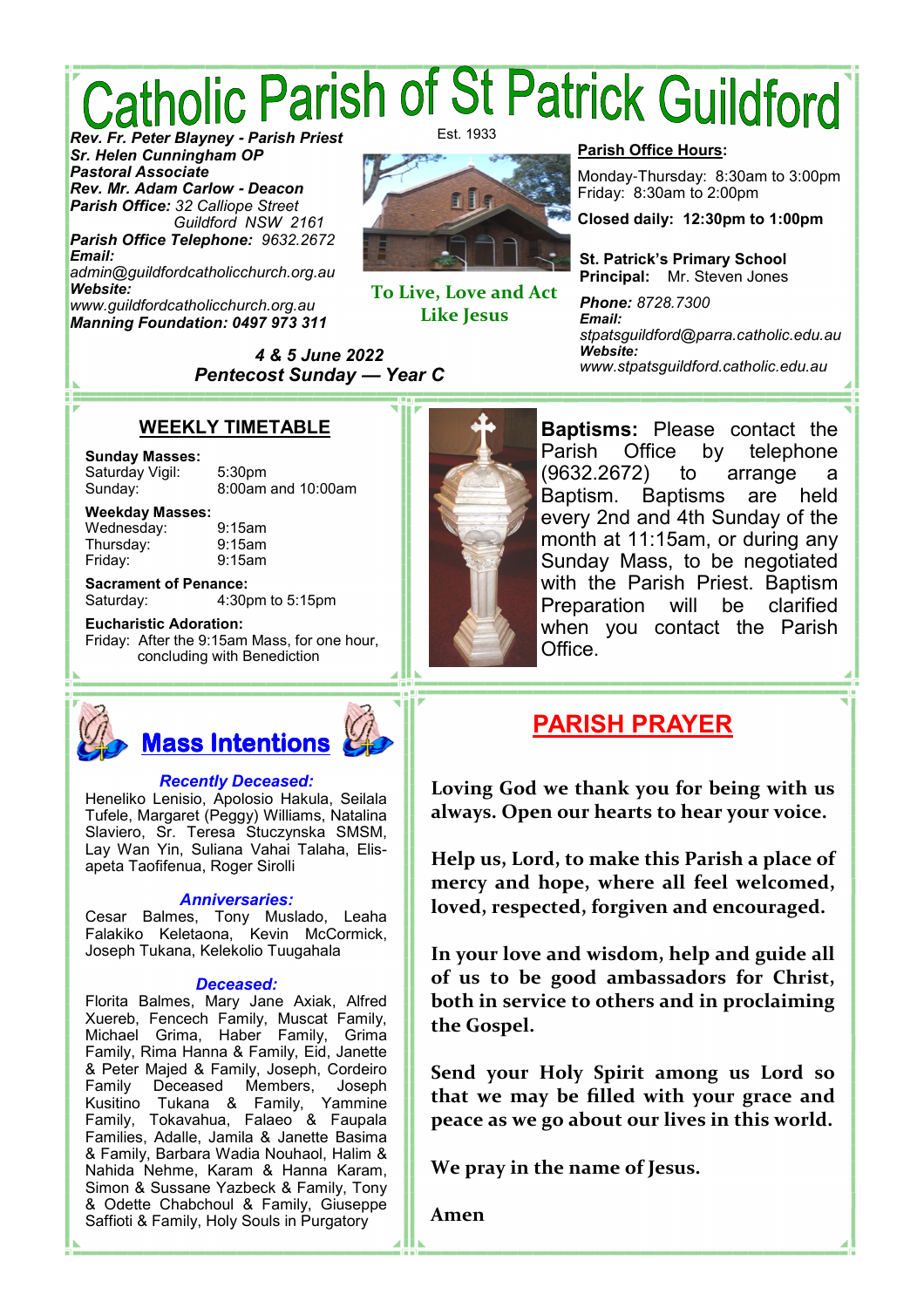# *Catholic Parish of St Patrick Guildford<br>Rev. Er. Peter Blayney - Parish Priest*

*Sr. Helen Cunningham OP Pastoral Associate Rev. Mr. Adam Carlow* **-** *Deacon Parish Office: 32 Calliope Street Guildford NSW 2161 Parish Office Telephone: 9632.2672*

*Email: admin@guildfordcatholicchurch.org.au Website: www.guildfordcatholicchurch.org.au Manning Foundation: 0497 973 311*

Est. 1933



**To Live, Love and Act Like Jesus** 

#### **Parish Office Hours:**

Monday-Thursday: 8:30am to 3:00pm Friday: 8:30am to 2:00pm

**Closed daily: 12:30pm to 1:00pm**

**St. Patrick's Primary School Principal:** Mr. Steven Jones

*Phone: 8728.7300 Email: stpatsguildford@parra.catholic.edu.au Website: www.stpatsguildford.catholic.edu.au*

*Pentecost Sunday* **—** *Year C*

*4 & 5 June 2022*

#### **WEEKLY TIMETABLE**

#### **Sunday Masses:** Saturday Vigil: 5:30pm

Sunday: 8:00am and 10:00am

#### **Weekday Masses:**

Wednesday: 9:15am Thursday: 9:15am Friday: 9:15am

**Sacrament of Penance:** Saturday: 4:30pm to 5:15pm

**Eucharistic Adoration:** Friday: After the 9:15am Mass, for one hour, concluding with Benediction



**Baptisms:** Please contact the Parish Office by telephone (9632.2672) to arrange a Baptism. Baptisms are held every 2nd and 4th Sunday of the month at 11:15am, or during any Sunday Mass, to be negotiated with the Parish Priest. Baptism Preparation will be clarified when you contact the Parish Office.

## **PARISH PRAYER**

**Loving God we thank you for being with us always. Open our hearts to hear your voice.** 

**Help us, Lord, to make this Parish a place of mercy and hope, where all feel welcomed, loved, respected, forgiven and encouraged.** 

**In your love and wisdom, help and guide all of us to be good ambassadors for Christ, both in service to others and in proclaiming the Gospel.** 

**Send your Holy Spirit among us Lord so that we may be filled with your grace and peace as we go about our lives in this world.** 

**We pray in the name of Jesus.** 

**Amen** 



## **Mass Intentions**

#### *Recently Deceased:*

Heneliko Lenisio, Apolosio Hakula, Seilala Tufele, Margaret (Peggy) Williams, Natalina Slaviero, Sr. Teresa Stuczynska SMSM, Lay Wan Yin, Suliana Vahai Talaha, Elisapeta Taofifenua, Roger Sirolli

#### *Anniversaries:*

Cesar Balmes, Tony Muslado, Leaha Falakiko Keletaona, Kevin McCormick, Joseph Tukana, Kelekolio Tuugahala

#### *Deceased:*

Florita Balmes, Mary Jane Axiak, Alfred Xuereb, Fencech Family, Muscat Family, Michael Grima, Haber Family, Grima Family, Rima Hanna & Family, Eid, Janette & Peter Majed & Family, Joseph, Cordeiro Family Deceased Members, Joseph Kusitino Tukana & Family, Yammine Family, Tokavahua, Falaeo & Faupala Families, Adalle, Jamila & Janette Basima & Family, Barbara Wadia Nouhaol, Halim & Nahida Nehme, Karam & Hanna Karam, Simon & Sussane Yazbeck & Family, Tony & Odette Chabchoul & Family, Giuseppe Saffioti & Family, Holy Souls in Purgatory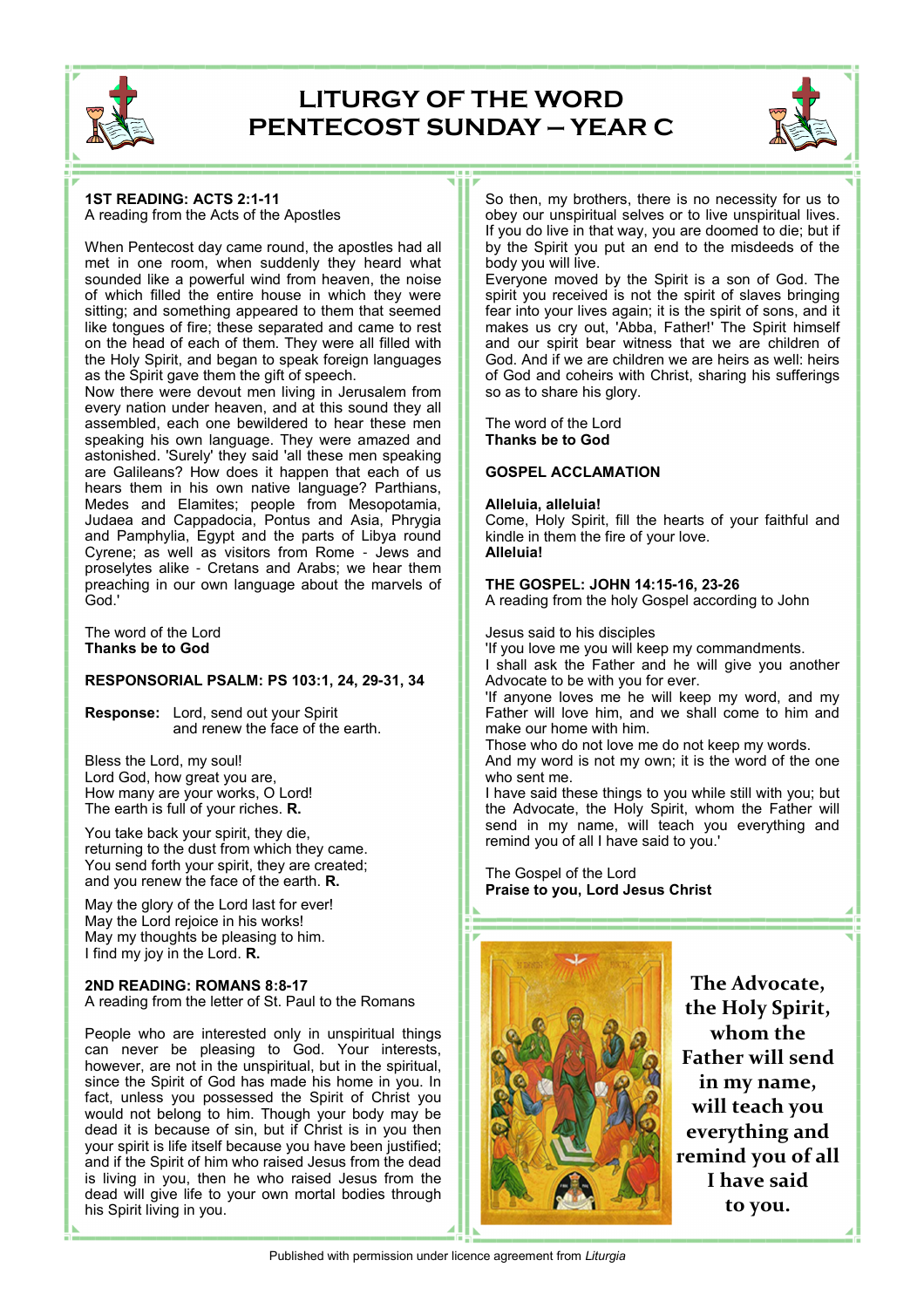

### **LITURGY OF THE WORD PENTECOST SUNDAY — YEAR C**



#### **1ST READING: ACTS 2:1-11** A reading from the Acts of the Apostles

When Pentecost day came round, the apostles had all met in one room, when suddenly they heard what sounded like a powerful wind from heaven, the noise of which filled the entire house in which they were sitting; and something appeared to them that seemed like tongues of fire; these separated and came to rest on the head of each of them. They were all filled with the Holy Spirit, and began to speak foreign languages as the Spirit gave them the gift of speech.

Now there were devout men living in Jerusalem from every nation under heaven, and at this sound they all assembled, each one bewildered to hear these men speaking his own language. They were amazed and astonished. 'Surely' they said 'all these men speaking are Galileans? How does it happen that each of us hears them in his own native language? Parthians, Medes and Elamites; people from Mesopotamia, Judaea and Cappadocia, Pontus and Asia, Phrygia and Pamphylia, Egypt and the parts of Libya round Cyrene; as well as visitors from Rome - Jews and proselytes alike - Cretans and Arabs; we hear them preaching in our own language about the marvels of God.'

The word of the Lord **Thanks be to God**

#### **RESPONSORIAL PSALM: PS 103:1, 24, 29-31, 34**

**Response:** Lord, send out your Spirit and renew the face of the earth.

Bless the Lord, my soul! Lord God, how great you are, How many are your works, O Lord! The earth is full of your riches. **R.**

You take back your spirit, they die, returning to the dust from which they came. You send forth your spirit, they are created; and you renew the face of the earth. **R.**

May the glory of the Lord last for ever! May the Lord rejoice in his works! May my thoughts be pleasing to him. I find my joy in the Lord. **R.**

#### **2ND READING: ROMANS 8:8-17**

A reading from the letter of St. Paul to the Romans

People who are interested only in unspiritual things can never be pleasing to God. Your interests, however, are not in the unspiritual, but in the spiritual, since the Spirit of God has made his home in you. In fact, unless you possessed the Spirit of Christ you would not belong to him. Though your body may be dead it is because of sin, but if Christ is in you then your spirit is life itself because you have been justified; and if the Spirit of him who raised Jesus from the dead is living in you, then he who raised Jesus from the dead will give life to your own mortal bodies through his Spirit living in you.

So then, my brothers, there is no necessity for us to obey our unspiritual selves or to live unspiritual lives. If you do live in that way, you are doomed to die; but if by the Spirit you put an end to the misdeeds of the body you will live.

Everyone moved by the Spirit is a son of God. The spirit you received is not the spirit of slaves bringing fear into your lives again; it is the spirit of sons, and it makes us cry out, 'Abba, Father!' The Spirit himself and our spirit bear witness that we are children of God. And if we are children we are heirs as well: heirs of God and coheirs with Christ, sharing his sufferings so as to share his glory.

The word of the Lord **Thanks be to God**

#### **GOSPEL ACCLAMATION**

#### **Alleluia, alleluia!**

Come, Holy Spirit, fill the hearts of your faithful and kindle in them the fire of your love. **Alleluia!**

**THE GOSPEL: JOHN 14:15-16, 23-26** A reading from the holy Gospel according to John

Jesus said to his disciples

'If you love me you will keep my commandments. I shall ask the Father and he will give you another Advocate to be with you for ever.

'If anyone loves me he will keep my word, and my Father will love him, and we shall come to him and make our home with him.

Those who do not love me do not keep my words. And my word is not my own; it is the word of the one who sent me.

I have said these things to you while still with you; but the Advocate, the Holy Spirit, whom the Father will send in my name, will teach you everything and remind you of all I have said to you.'

The Gospel of the Lord **Praise to you, Lord Jesus Christ**



**The Advocate, the Holy Spirit, whom the Father will send in my name, will teach you everything and remind you of all I have said to you.** 

Published with permission under licence agreement from *Liturgia*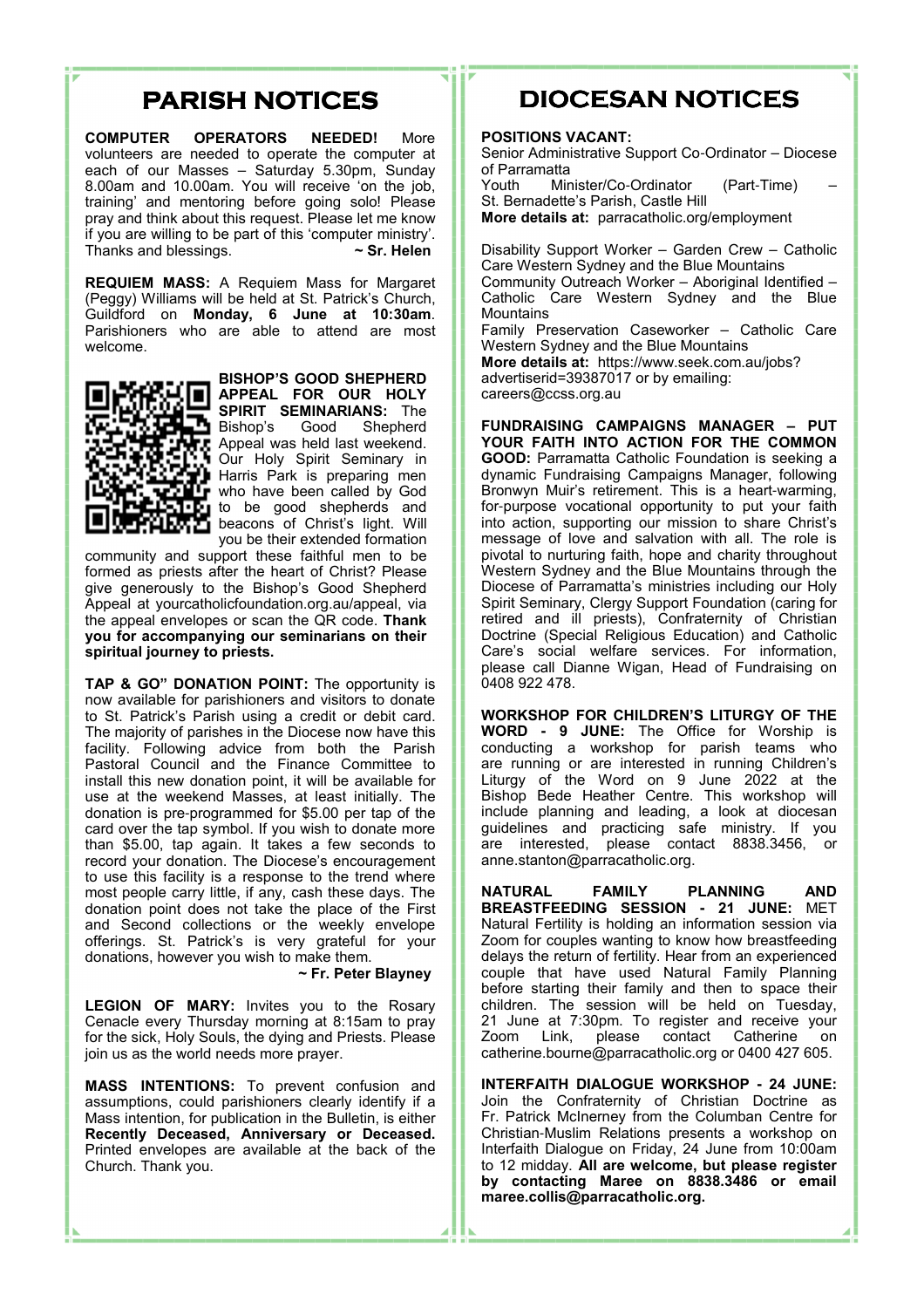## **PARISH NOTICES**

**COMPUTER OPERATORS NEEDED!** More volunteers are needed to operate the computer at each of our Masses – Saturday 5.30pm, Sunday 8.00am and 10.00am. You will receive 'on the job, training' and mentoring before going solo! Please pray and think about this request. Please let me know if you are willing to be part of this 'computer ministry'. Thanks and blessings. **~ Sr. Helen**

**REQUIEM MASS:** A Requiem Mass for Margaret (Peggy) Williams will be held at St. Patrick's Church, Guildford on **Monday, 6 June at 10:30am**. Parishioners who are able to attend are most welcome.



**BISHOP'S GOOD SHEPHERD APPEAL FOR OUR HOLY SPIRIT SEMINARIANS:** The Bishop's Good Shepherd Good Shepherd Appeal was held last weekend. Our Holy Spirit Seminary in Harris Park is preparing men who have been called by God to be good shepherds and beacons of Christ's light. Will you be their extended formation

community and support these faithful men to be formed as priests after the heart of Christ? Please give generously to the Bishop's Good Shepherd Appeal at yourcatholicfoundation.org.au/appeal, via the appeal envelopes or scan the QR code. **Thank you for accompanying our seminarians on their spiritual journey to priests.**

**TAP & GO" DONATION POINT:** The opportunity is now available for parishioners and visitors to donate to St. Patrick's Parish using a credit or debit card. The majority of parishes in the Diocese now have this facility. Following advice from both the Parish Pastoral Council and the Finance Committee to install this new donation point, it will be available for use at the weekend Masses, at least initially. The donation is pre-programmed for \$5.00 per tap of the card over the tap symbol. If you wish to donate more than \$5.00, tap again. It takes a few seconds to record your donation. The Diocese's encouragement to use this facility is a response to the trend where most people carry little, if any, cash these days. The donation point does not take the place of the First and Second collections or the weekly envelope offerings. St. Patrick's is very grateful for your donations, however you wish to make them.

 **~ Fr. Peter Blayney**

**LEGION OF MARY:** Invites you to the Rosary Cenacle every Thursday morning at 8:15am to pray for the sick, Holy Souls, the dying and Priests. Please join us as the world needs more prayer.

**MASS INTENTIONS:** To prevent confusion and assumptions, could parishioners clearly identify if a Mass intention, for publication in the Bulletin, is either **Recently Deceased, Anniversary or Deceased.** Printed envelopes are available at the back of the Church. Thank you.

## **DIOCESAN NOTICES**

#### **POSITIONS VACANT:**

Senior Administrative Support Co-Ordinator – Diocese of Parramatta<br>Youth Min

Minister/Co-Ordinator (Part-Time) St. Bernadette's Parish, Castle Hill

**More details at:** parracatholic.org/employment

Disability Support Worker – Garden Crew – Catholic Care Western Sydney and the Blue Mountains Community Outreach Worker – Aboriginal Identified – Catholic Care Western Sydney and the Blue **Mountains** Family Preservation Caseworker – Catholic Care Western Sydney and the Blue Mountains **More details at:** https://www.seek.com.au/jobs? advertiserid=39387017 or by emailing: careers@ccss.org.au

**FUNDRAISING CAMPAIGNS MANAGER – PUT YOUR FAITH INTO ACTION FOR THE COMMON GOOD:** Parramatta Catholic Foundation is seeking a dynamic Fundraising Campaigns Manager, following Bronwyn Muir's retirement. This is a heart-warming, for-purpose vocational opportunity to put your faith into action, supporting our mission to share Christ's message of love and salvation with all. The role is pivotal to nurturing faith, hope and charity throughout Western Sydney and the Blue Mountains through the Diocese of Parramatta's ministries including our Holy Spirit Seminary, Clergy Support Foundation (caring for retired and ill priests), Confraternity of Christian Doctrine (Special Religious Education) and Catholic Care's social welfare services. For information, please call Dianne Wigan, Head of Fundraising on 0408 922 478.

**WORKSHOP FOR CHILDREN'S LITURGY OF THE WORD - 9 JUNE:** The Office for Worship is conducting a workshop for parish teams who are running or are interested in running Children's Liturgy of the Word on 9 June 2022 at the Bishop Bede Heather Centre. This workshop will include planning and leading, a look at diocesan guidelines and practicing safe ministry. If you are interested, please contact 8838.3456, or anne.stanton@parracatholic.org.

**NATURAL FAMILY PLANNING AND BREASTFEEDING SESSION - 21 JUNE:** MET Natural Fertility is holding an information session via Zoom for couples wanting to know how breastfeeding delays the return of fertility. Hear from an experienced couple that have used Natural Family Planning before starting their family and then to space their children. The session will be held on Tuesday, 21 June at 7:30pm. To register and receive your Zoom Link, please contact Catherine on catherine.bourne@parracatholic.org or 0400 427 605.

**INTERFAITH DIALOGUE WORKSHOP - 24 JUNE:** Join the Confraternity of Christian Doctrine as Fr. Patrick McInerney from the Columban Centre for Christian-Muslim Relations presents a workshop on Interfaith Dialogue on Friday, 24 June from 10:00am to 12 midday. **All are welcome, but please register by contacting Maree on 8838.3486 or email maree.collis@parracatholic.org.**